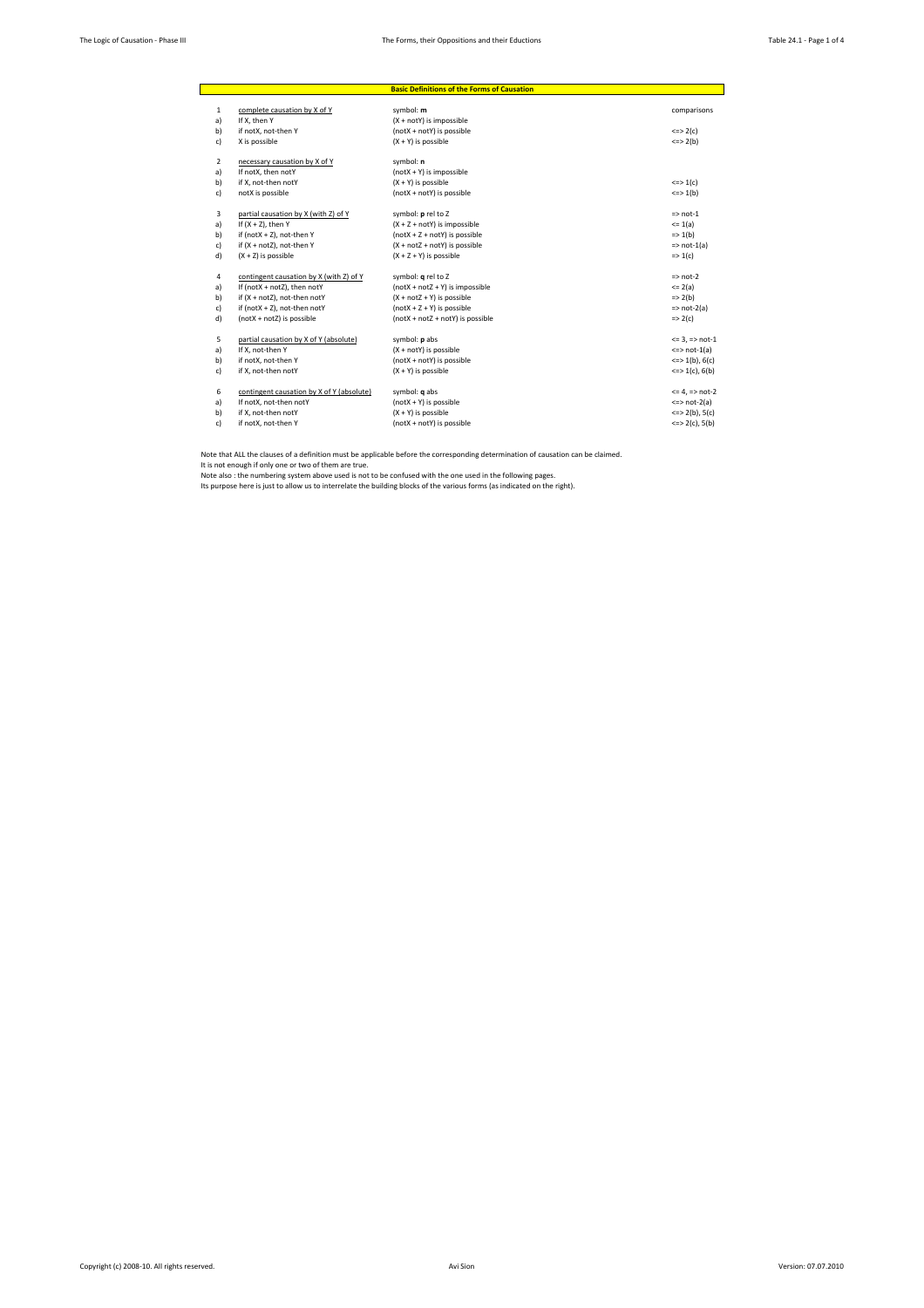|                |                                           | <b>Basic Definitions of the Forms of Causation</b> |                             |
|----------------|-------------------------------------------|----------------------------------------------------|-----------------------------|
| 1              | complete causation by X of Y              | symbol: m                                          | comparisons                 |
| a)             | If X. then Y                              | (X + notY) is impossible                           |                             |
| b)             | if notX, not-then Y                       | (notX + notY) is possible                          | $\le$ = > 2(c)              |
| c)             | X is possible                             | $(X + Y)$ is possible                              | $\leq$ > 2(b)               |
| $\overline{2}$ | necessary causation by X of Y             | symbol: n                                          |                             |
| a)             | If notX, then notY                        | $(notX + Y)$ is impossible                         |                             |
| b)             | if X. not-then notY                       | $(X + Y)$ is possible                              | $\le$ > 1(c)                |
| c)             | notX is possible                          | (notX + notY) is possible                          | $\iff$ 1(b)                 |
| 3              | partial causation by X (with Z) of Y      | symbol: p rel to Z                                 | $\Rightarrow$ not-1         |
| a)             | If $(X + Z)$ , then Y                     | $(X + Z + notY)$ is impossible                     | $= 1(a)$                    |
| b)             | if (not $X + Z$ ), not-then Y             | $(notX + Z + notY)$ is possible                    | $\Rightarrow$ 1(b)          |
| c)             | if (X + notZ), not-then Y                 | $(X + notZ + notY)$ is possible                    | $\Rightarrow$ not-1(a)      |
| d)             | $(X + Z)$ is possible                     | $(X + Z + Y)$ is possible                          | $\Rightarrow$ 1(c)          |
| 4              | contingent causation by X (with Z) of Y   | symbol: q rel to Z                                 | $\Rightarrow$ not-2         |
| a)             | If (notX + notZ), then notY               | $(notX + notZ + Y)$ is impossible                  | $= 2(a)$                    |
| b)             | if (X + notZ), not-then notY              | $(X + notZ + Y)$ is possible                       | $=$ 2(b)                    |
| c)             | if (notX + Z), not-then notY              | $(notX + Z + Y)$ is possible                       | $\Rightarrow$ not-2(a)      |
| d)             | $(notX + notZ)$ is possible               | $(notX + notZ + notY)$ is possible                 | $\Rightarrow$ 2(c)          |
| 5              | partial causation by X of Y (absolute)    | symbol: p abs                                      | $= 3, \Rightarrow$ not-1    |
| a)             | If X. not-then Y                          | $(X + notY)$ is possible                           | $\le$ > not-1(a)            |
| b)             | if notX, not-then Y                       | (notX + notY) is possible                          | $\leq$ > 1(b), 6(c)         |
| c)             | if X, not-then notY                       | $(X + Y)$ is possible                              | $\leq$ > 1(c), 6(b)         |
| 6              | contingent causation by X of Y (absolute) | symbol: <b>q</b> abs                               | $= 4$ , $\Rightarrow$ not-2 |
| a)             | If notX, not-then notY                    | $(notX + Y)$ is possible                           | $\le$ > not-2(a)            |
| b)             | if X. not-then notY                       | $(X + Y)$ is possible                              | $\leq$ > 2(b), 5(c)         |
| c)             | if notX, not-then Y                       | (notX + notY) is possible                          | $\leq$ > 2(c), 5(b)         |

Note that ALL the clauses of a definition must be applicable before the corresponding determination of causation can be claimed.<br>It is not enough if only one or two of them are true.<br>Note also : the numbering system above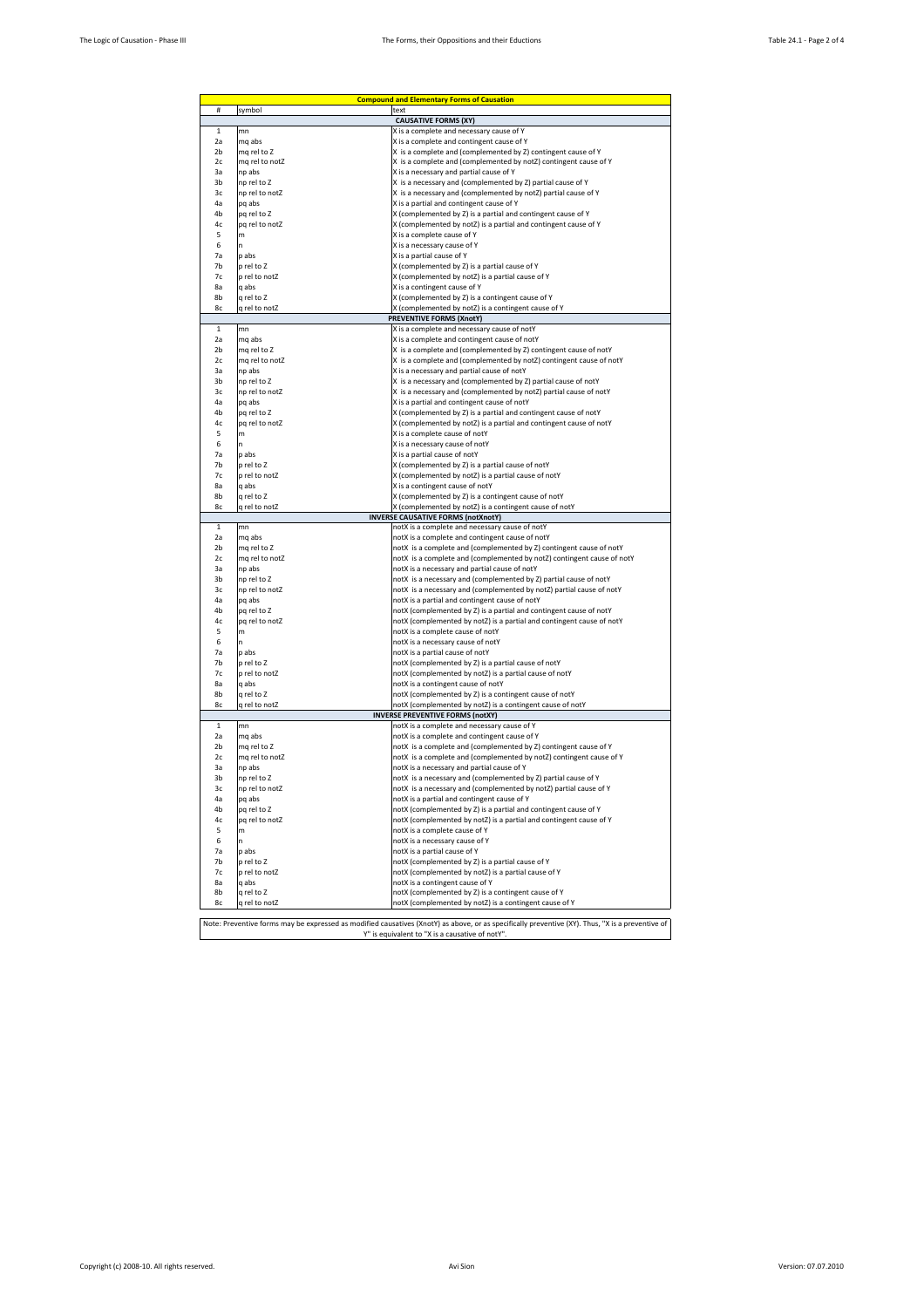| $\#$           | <b>Compound and Elementary Forms of Causation</b> |                                                                                                                  |  |  |  |
|----------------|---------------------------------------------------|------------------------------------------------------------------------------------------------------------------|--|--|--|
|                | symbol                                            | text                                                                                                             |  |  |  |
| $\mathbf{1}$   | mn                                                | <b>CAUSATIVE FORMS (XY)</b>                                                                                      |  |  |  |
| 2a             | mq abs                                            | X is a complete and necessary cause of Y<br>X is a complete and contingent cause of Y                            |  |  |  |
| 2b             | mq rel to Z                                       | X is a complete and (complemented by Z) contingent cause of Y                                                    |  |  |  |
| 2c             | mq rel to notZ                                    | X is a complete and (complemented by notZ) contingent cause of Y                                                 |  |  |  |
| 3a             | np abs                                            | X is a necessary and partial cause of Y                                                                          |  |  |  |
| 3b             | np rel to Z                                       | X is a necessary and (complemented by Z) partial cause of Y                                                      |  |  |  |
| 3c             | np rel to notZ                                    | X is a necessary and (complemented by notZ) partial cause of Y                                                   |  |  |  |
| 4a             | pq abs                                            | X is a partial and contingent cause of Y                                                                         |  |  |  |
| 4b             | pq rel to Z                                       | X (complemented by Z) is a partial and contingent cause of Y                                                     |  |  |  |
| 4c<br>5        | pq rel to notZ<br>m                               | X (complemented by notZ) is a partial and contingent cause of Y<br>X is a complete cause of Y                    |  |  |  |
| 6              | 'n                                                | X is a necessary cause of Y                                                                                      |  |  |  |
| 7a             | p abs                                             | X is a partial cause of Y                                                                                        |  |  |  |
| 7 <sub>h</sub> | p rel to Z                                        | X (complemented by Z) is a partial cause of Y                                                                    |  |  |  |
| 7c             | p rel to notZ                                     | X (complemented by notZ) is a partial cause of Y                                                                 |  |  |  |
| 8a             | q abs                                             | X is a contingent cause of Y                                                                                     |  |  |  |
| 8b             | q rel to Z                                        | X (complemented by Z) is a contingent cause of Y                                                                 |  |  |  |
| 8c             | q rel to notZ                                     | X (complemented by notZ) is a contingent cause of Y                                                              |  |  |  |
|                |                                                   | <b>PREVENTIVE FORMS (XnotY)</b>                                                                                  |  |  |  |
| $\mathbf{1}$   | mn                                                | X is a complete and necessary cause of notY                                                                      |  |  |  |
| 2a<br>2b       | mq abs<br>mq rel to Z                             | X is a complete and contingent cause of notY<br>X is a complete and (complemented by Z) contingent cause of notY |  |  |  |
| 2c             | mq rel to notZ                                    | X is a complete and (complemented by notZ) contingent cause of notY                                              |  |  |  |
| 3a             | np abs                                            | X is a necessary and partial cause of notY                                                                       |  |  |  |
| 3b             | np rel to Z                                       | X is a necessary and (complemented by Z) partial cause of notY                                                   |  |  |  |
| 3c             | np rel to notZ                                    | X is a necessary and (complemented by notZ) partial cause of notY                                                |  |  |  |
| 4a             | pq abs                                            | X is a partial and contingent cause of notY                                                                      |  |  |  |
| 4b             | pq rel to Z                                       | X (complemented by Z) is a partial and contingent cause of notY                                                  |  |  |  |
| 4c             | pg rel to notZ                                    | X (complemented by notZ) is a partial and contingent cause of notY                                               |  |  |  |
| 5              | m                                                 | X is a complete cause of notY                                                                                    |  |  |  |
| 6              | n<br>p abs                                        | X is a necessary cause of notY                                                                                   |  |  |  |
| 7a<br>7b       |                                                   | X is a partial cause of notY                                                                                     |  |  |  |
| 7c             | p rel to Z<br>p rel to notZ                       | X (complemented by Z) is a partial cause of notY<br>X (complemented by notZ) is a partial cause of notY          |  |  |  |
| 8a             | q abs                                             | X is a contingent cause of notY                                                                                  |  |  |  |
| 8b             | q rel to Z                                        | X (complemented by Z) is a contingent cause of notY                                                              |  |  |  |
| 8с             | q rel to notZ                                     | X (complemented by notZ) is a contingent cause of notY                                                           |  |  |  |
|                |                                                   | <b>INVERSE CAUSATIVE FORMS (notXnotY)</b>                                                                        |  |  |  |
| $\,1\,$        | mn                                                | notX is a complete and necessary cause of notY                                                                   |  |  |  |
| 2a             | mq abs                                            | notX is a complete and contingent cause of notY                                                                  |  |  |  |
| 2 <sub>b</sub> | mq rel to Z                                       | notX is a complete and (complemented by Z) contingent cause of notY                                              |  |  |  |
|                |                                                   |                                                                                                                  |  |  |  |
| 2c             | mq rel to notZ                                    | notX is a complete and (complemented by notZ) contingent cause of notY                                           |  |  |  |
| 3a             | np abs                                            | notX is a necessary and partial cause of notY                                                                    |  |  |  |
| 3b             | np rel to Z                                       | notX is a necessary and (complemented by Z) partial cause of notY                                                |  |  |  |
| 3c             | np rel to notZ                                    | notX is a necessary and (complemented by notZ) partial cause of notY                                             |  |  |  |
| 4a             | pq abs                                            | notX is a partial and contingent cause of notY                                                                   |  |  |  |
| 4b<br>4c       | pq rel to Z<br>pq rel to notZ                     | notX (complemented by Z) is a partial and contingent cause of notY                                               |  |  |  |
| 5              | m                                                 | notX (complemented by notZ) is a partial and contingent cause of notY<br>notX is a complete cause of notY        |  |  |  |
| 6              | n.                                                | notX is a necessary cause of notY                                                                                |  |  |  |
| 7a             | p abs                                             | notX is a partial cause of notY                                                                                  |  |  |  |
| 7b             | p rel to Z                                        | notX (complemented by Z) is a partial cause of notY                                                              |  |  |  |
| 7c             | p rel to notZ                                     | notX (complemented by notZ) is a partial cause of notY                                                           |  |  |  |
| 8a             | q abs                                             | notX is a contingent cause of notY                                                                               |  |  |  |
| 8b             | q rel to Z                                        | notX (complemented by Z) is a contingent cause of notY                                                           |  |  |  |
| 8с             | q rel to notZ                                     | notX (complemented by notZ) is a contingent cause of notY                                                        |  |  |  |
|                |                                                   | <b>INVERSE PREVENTIVE FORMS (notXY)</b>                                                                          |  |  |  |
| $\,$ 1<br>2a   | mn<br>mq abs                                      | notX is a complete and necessary cause of Y<br>notX is a complete and contingent cause of Y                      |  |  |  |
| 2 <sub>b</sub> | mq rel to Z                                       | notX is a complete and (complemented by Z) contingent cause of Y                                                 |  |  |  |
| 2c             | mq rel to notZ                                    | notX is a complete and (complemented by notZ) contingent cause of Y                                              |  |  |  |
| За             | np abs                                            | notX is a necessary and partial cause of Y                                                                       |  |  |  |
| 3b             | np rel to Z                                       | notX is a necessary and (complemented by Z) partial cause of Y                                                   |  |  |  |
| зс             | np rel to notZ                                    | notX  is a necessary and (complemented by notZ) partial cause of Y                                               |  |  |  |
| 4a             | pq abs                                            | notX is a partial and contingent cause of Y                                                                      |  |  |  |
| 4b             | pq rel to Z                                       | notX (complemented by Z) is a partial and contingent cause of Y                                                  |  |  |  |
| 4c             | pq rel to notZ                                    | notX (complemented by notZ) is a partial and contingent cause of Y                                               |  |  |  |
| 5              | m                                                 | notX is a complete cause of Y                                                                                    |  |  |  |
| 6              | 'n                                                | notX is a necessary cause of Y                                                                                   |  |  |  |
| 7a<br>7b       | p abs<br>p rel to Z                               | notX is a partial cause of Y                                                                                     |  |  |  |
| 7c             | p rel to notZ                                     | notX (complemented by Z) is a partial cause of Y<br>notX (complemented by notZ) is a partial cause of Y          |  |  |  |
| 8a             | q abs                                             | notX is a contingent cause of Y                                                                                  |  |  |  |
| 8b<br>8c       | q rel to Z<br>q rel to notZ                       | notX (complemented by Z) is a contingent cause of Y<br>notX (complemented by notZ) is a contingent cause of Y    |  |  |  |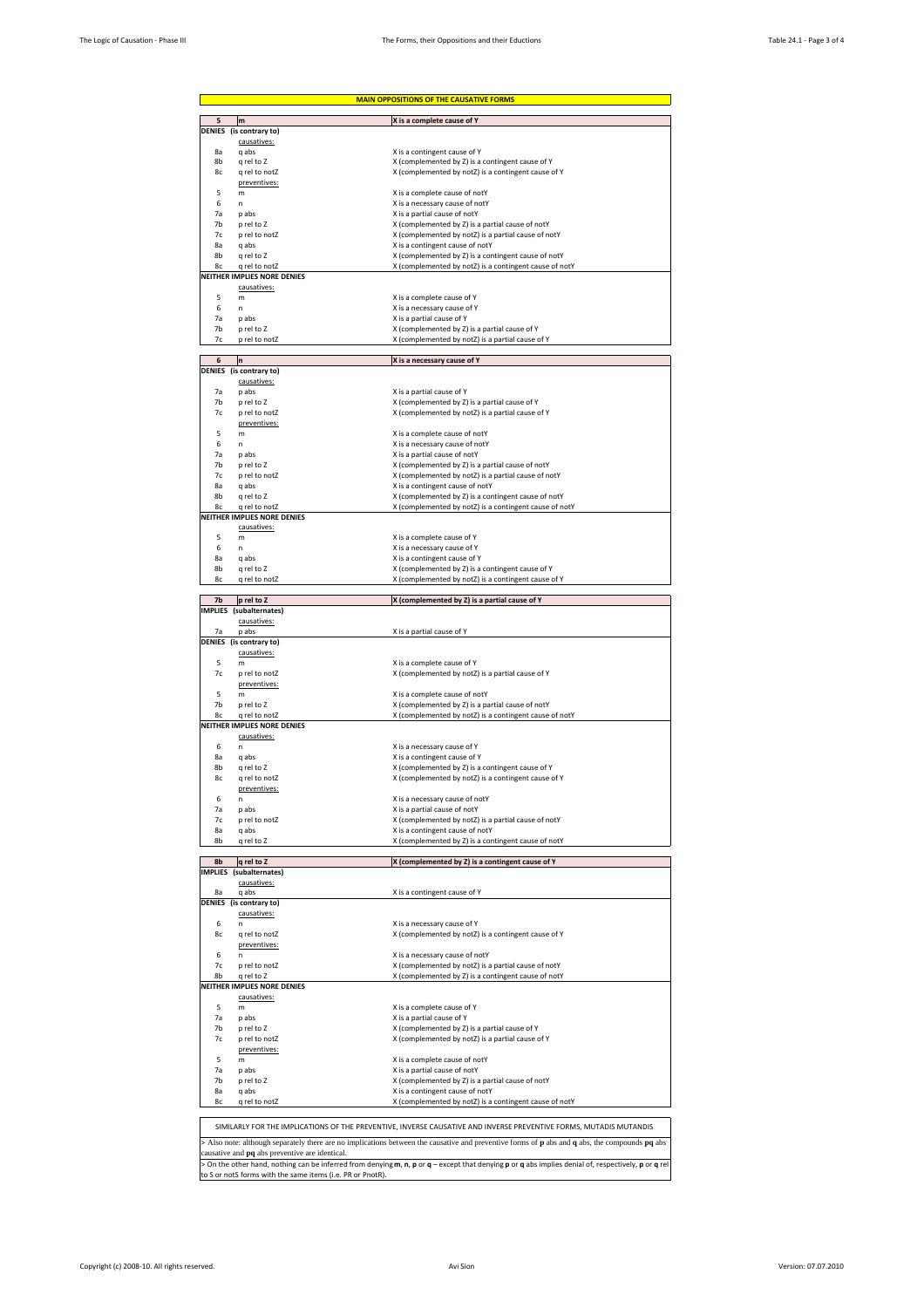| <b>MAIN OPPOSITIONS OF THE CAUSATIVE FORMS</b> |                                                            |                                                                                                                                                     |  |  |
|------------------------------------------------|------------------------------------------------------------|-----------------------------------------------------------------------------------------------------------------------------------------------------|--|--|
|                                                | m                                                          | X is a complete cause of Y                                                                                                                          |  |  |
| DENIES                                         | (is contrary to)                                           |                                                                                                                                                     |  |  |
|                                                | causatives:                                                |                                                                                                                                                     |  |  |
| 8a                                             | q abs                                                      | X is a contingent cause of Y                                                                                                                        |  |  |
| 8b                                             | q rel to Z                                                 | X (complemented by Z) is a contingent cause of Y                                                                                                    |  |  |
| 8c                                             | q rel to notZ                                              | X (complemented by notZ) is a contingent cause of Y                                                                                                 |  |  |
| 5                                              | preventives:<br>m                                          | X is a complete cause of notY                                                                                                                       |  |  |
| 6                                              | n                                                          | X is a necessary cause of notY                                                                                                                      |  |  |
| 7a                                             | p abs                                                      | X is a partial cause of notY                                                                                                                        |  |  |
| 7b                                             | p rel to Z                                                 | X (complemented by Z) is a partial cause of notY                                                                                                    |  |  |
| 7c                                             | p rel to notZ                                              | X (complemented by notZ) is a partial cause of notY                                                                                                 |  |  |
| 8a                                             | q abs                                                      | X is a contingent cause of notY                                                                                                                     |  |  |
| 8b<br>8c                                       | q rel to Z                                                 | X (complemented by Z) is a contingent cause of notY                                                                                                 |  |  |
|                                                | q rel to notZ<br><b>NEITHER IMPLIES NORE DENIES</b>        | X (complemented by notZ) is a contingent cause of notY                                                                                              |  |  |
|                                                | causatives:                                                |                                                                                                                                                     |  |  |
| 5                                              | m                                                          | X is a complete cause of Y                                                                                                                          |  |  |
| 6                                              | n                                                          | X is a necessary cause of Y                                                                                                                         |  |  |
| 7a                                             | p abs                                                      | X is a partial cause of Y                                                                                                                           |  |  |
| 7b                                             | p rel to Z                                                 | X (complemented by Z) is a partial cause of Y                                                                                                       |  |  |
| 7c                                             | p rel to notZ                                              | X (complemented by notZ) is a partial cause of Y                                                                                                    |  |  |
|                                                |                                                            |                                                                                                                                                     |  |  |
| 6                                              | n<br>DENIES (is contrary to)                               | X is a necessary cause of Y                                                                                                                         |  |  |
|                                                | causatives:                                                |                                                                                                                                                     |  |  |
| 7a                                             | p abs                                                      | X is a partial cause of Y                                                                                                                           |  |  |
| 7b                                             | p rel to Z                                                 | X (complemented by Z) is a partial cause of Y                                                                                                       |  |  |
| 7c                                             | p rel to notZ                                              | X (complemented by notZ) is a partial cause of Y                                                                                                    |  |  |
|                                                | preventives:                                               |                                                                                                                                                     |  |  |
| 5                                              | m                                                          | X is a complete cause of notY                                                                                                                       |  |  |
| 6                                              | n                                                          | X is a necessary cause of notY                                                                                                                      |  |  |
| 7a                                             | p abs                                                      | X is a partial cause of notY                                                                                                                        |  |  |
| 7b                                             | p rel to Z                                                 | X (complemented by Z) is a partial cause of notY                                                                                                    |  |  |
| 7c                                             | p rel to notZ                                              | X (complemented by notZ) is a partial cause of notY                                                                                                 |  |  |
| 8a<br>8b                                       | q abs<br>q rel to Z                                        | X is a contingent cause of notY<br>X (complemented by Z) is a contingent cause of notY                                                              |  |  |
| 8c                                             | q rel to notZ                                              | X (complemented by notZ) is a contingent cause of notY                                                                                              |  |  |
|                                                | NEITHER IMPLIES NORE DENIES                                |                                                                                                                                                     |  |  |
|                                                | causatives:                                                |                                                                                                                                                     |  |  |
| 5                                              | m                                                          | X is a complete cause of Y                                                                                                                          |  |  |
| 6                                              | n                                                          | X is a necessary cause of Y                                                                                                                         |  |  |
| 8a                                             | q abs                                                      | X is a contingent cause of Y                                                                                                                        |  |  |
| 8b                                             | q rel to Z                                                 | X (complemented by Z) is a contingent cause of Y                                                                                                    |  |  |
| 8c                                             | q rel to notZ                                              | X (complemented by notZ) is a contingent cause of Y                                                                                                 |  |  |
|                                                |                                                            |                                                                                                                                                     |  |  |
| 7b                                             | p rel to Z                                                 | X (complemented by Z) is a partial cause of Y                                                                                                       |  |  |
|                                                | IMPLIES (subalternates)                                    |                                                                                                                                                     |  |  |
| 7а                                             | causatives:<br>p abs                                       | X is a partial cause of Y                                                                                                                           |  |  |
|                                                | DENIES (is contrary to)                                    |                                                                                                                                                     |  |  |
|                                                | causatives:                                                |                                                                                                                                                     |  |  |
| 5                                              | m                                                          | X is a complete cause of Y                                                                                                                          |  |  |
| 7c                                             | p rel to notZ                                              | X (complemented by notZ) is a partial cause of Y                                                                                                    |  |  |
|                                                | preventives:                                               |                                                                                                                                                     |  |  |
|                                                |                                                            |                                                                                                                                                     |  |  |
| 5                                              | m                                                          | X is a complete cause of notY                                                                                                                       |  |  |
| 7b                                             | p rel to Z                                                 | X (complemented by Z) is a partial cause of notY                                                                                                    |  |  |
| 8c                                             | q rel to notZ                                              | X (complemented by notZ) is a contingent cause of notY                                                                                              |  |  |
|                                                | NEITHER IMPLIES NORE DENIES                                |                                                                                                                                                     |  |  |
|                                                | causatives:                                                |                                                                                                                                                     |  |  |
| 6                                              | n.                                                         | X is a necessary cause of Y                                                                                                                         |  |  |
| 8a                                             | q abs                                                      | X is a contingent cause of Y                                                                                                                        |  |  |
| 8b<br>8c                                       | q rel to Z<br>q rel to notZ                                | X (complemented by Z) is a contingent cause of Y                                                                                                    |  |  |
|                                                | preventives:                                               | X (complemented by notZ) is a contingent cause of Y                                                                                                 |  |  |
| 6                                              | n                                                          | X is a necessary cause of notY                                                                                                                      |  |  |
| 7a                                             | p abs                                                      | X is a partial cause of notY                                                                                                                        |  |  |
| 7c                                             | p rel to notZ                                              | X (complemented by notZ) is a partial cause of notY                                                                                                 |  |  |
| 8a                                             | q abs                                                      | X is a contingent cause of notY                                                                                                                     |  |  |
| 8b                                             | q rel to Z                                                 | X (complemented by Z) is a contingent cause of notY                                                                                                 |  |  |
|                                                |                                                            |                                                                                                                                                     |  |  |
| 8b                                             | q rel to Z                                                 | X (complemented by Z) is a contingent cause of Y                                                                                                    |  |  |
|                                                | IMPLIES (subalternates)                                    |                                                                                                                                                     |  |  |
| 8a                                             | causatives:<br>q abs                                       |                                                                                                                                                     |  |  |
|                                                | DENIES (is contrary to)                                    | X is a contingent cause of Y                                                                                                                        |  |  |
|                                                | causatives:                                                |                                                                                                                                                     |  |  |
| 6                                              | n.                                                         | X is a necessary cause of Y                                                                                                                         |  |  |
| 8c                                             | q rel to notZ                                              | X (complemented by notZ) is a contingent cause of Y                                                                                                 |  |  |
|                                                | preventives:                                               |                                                                                                                                                     |  |  |
| 6                                              | n                                                          | X is a necessary cause of notY                                                                                                                      |  |  |
| 7c                                             | p rel to notZ                                              | X (complemented by notZ) is a partial cause of notY                                                                                                 |  |  |
| 8b                                             | q rel to Z                                                 | X (complemented by Z) is a contingent cause of notY                                                                                                 |  |  |
|                                                | NEITHER IMPLIES NORE DENIES                                |                                                                                                                                                     |  |  |
|                                                | causatives:                                                |                                                                                                                                                     |  |  |
| 5                                              | m                                                          | X is a complete cause of Y                                                                                                                          |  |  |
| 7a                                             | p abs                                                      | X is a partial cause of Y                                                                                                                           |  |  |
| 7b<br>7c                                       | p rel to Z<br>p rel to notZ                                | X (complemented by Z) is a partial cause of Y                                                                                                       |  |  |
|                                                | preventives:                                               | X (complemented by notZ) is a partial cause of Y                                                                                                    |  |  |
| 5                                              | m                                                          | X is a complete cause of notY                                                                                                                       |  |  |
| 7a                                             | p abs                                                      | X is a partial cause of notY                                                                                                                        |  |  |
| 7b                                             | p rel to Z                                                 | X (complemented by Z) is a partial cause of notY                                                                                                    |  |  |
| 8a                                             | q abs                                                      | X is a contingent cause of notY                                                                                                                     |  |  |
| 8с                                             | q rel to notZ                                              | X (complemented by notZ) is a contingent cause of notY                                                                                              |  |  |
|                                                |                                                            |                                                                                                                                                     |  |  |
|                                                |                                                            |                                                                                                                                                     |  |  |
|                                                |                                                            | SIMILARLY FOR THE IMPLICATIONS OF THE PREVENTIVE, INVERSE CAUSATIVE AND INVERSE PREVENTIVE FORMS, MUTADIS MUTANDIS                                  |  |  |
|                                                |                                                            | > Also note: although separately there are no implications between the causative and preventive forms of p abs and q abs, the compounds pq abs      |  |  |
|                                                | causative and pq abs preventive are identical.             |                                                                                                                                                     |  |  |
|                                                | to S or notS forms with the same items (i.e. PR or PnotR). | > On the other hand, nothing can be inferred from denying m, n, p or q – except that denying p or q abs implies denial of, respectively, p or q rel |  |  |